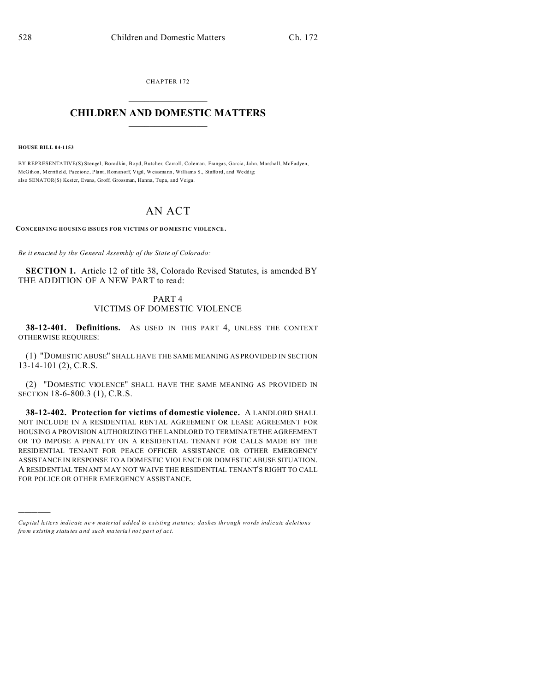CHAPTER 172  $\overline{\phantom{a}}$  , where  $\overline{\phantom{a}}$ 

## **CHILDREN AND DOMESTIC MATTERS**  $\_$

**HOUSE BILL 04-1153**

)))))

BY REPRESENTATIVE(S) Stengel, Borodkin, Boyd, Butcher, Carroll, Coleman, Frangas, Garcia, Jahn, Marshall, McFadyen, McGihon , Merrifield, Paccione , Plant, Romanoff, Vigil, Weissmann , Williams S., Staffo rd, and Wedd ig; also SENATOR(S) Kester, Evans, Groff, Grossman, Hanna, Tupa, and Veiga.

## AN ACT

**CONCERNING HOUSING ISSUES FOR VICTIMS OF DO MESTIC VIOLENCE.**

*Be it enacted by the General Assembly of the State of Colorado:*

**SECTION 1.** Article 12 of title 38, Colorado Revised Statutes, is amended BY THE ADDITION OF A NEW PART to read:

## PART 4 VICTIMS OF DOMESTIC VIOLENCE

**38-12-401. Definitions.** AS USED IN THIS PART 4, UNLESS THE CONTEXT OTHERWISE REQUIRES:

(1) "DOMESTIC ABUSE" SHALL HAVE THE SAME MEANING AS PROVIDED IN SECTION 13-14-101 (2), C.R.S.

(2) "DOMESTIC VIOLENCE" SHALL HAVE THE SAME MEANING AS PROVIDED IN SECTION 18-6-800.3 (1), C.R.S.

**38-12-402. Protection for victims of domestic violence.** A LANDLORD SHALL NOT INCLUDE IN A RESIDENTIAL RENTAL AGREEMENT OR LEASE AGREEMENT FOR HOUSING A PROVISION AUTHORIZING THE LANDLORD TO TERMINATE THE AGREEMENT OR TO IMPOSE A PENALTY ON A RESIDENTIAL TENANT FOR CALLS MADE BY THE RESIDENTIAL TENANT FOR PEACE OFFICER ASSISTANCE OR OTHER EMERGENCY ASSISTANCE IN RESPONSE TO A DOMESTIC VIOLENCE OR DOMESTIC ABUSE SITUATION. A RESIDENTIAL TENANT MAY NOT WAIVE THE RESIDENTIAL TENANT'S RIGHT TO CALL FOR POLICE OR OTHER EMERGENCY ASSISTANCE.

*Capital letters indicate new material added to existing statutes; dashes through words indicate deletions from e xistin g statu tes a nd such ma teria l no t pa rt of ac t.*